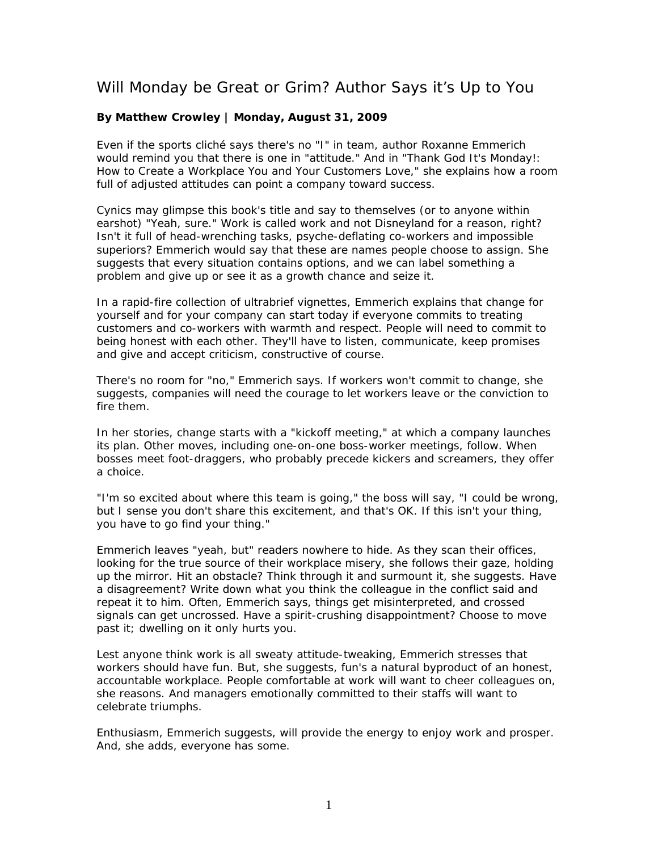## Will Monday be Great or Grim? Author Says it's Up to You

## **By Matthew Crowley | Monday, August 31, 2009**

Even if the sports cliché says there's no "I" in team, author Roxanne Emmerich would remind you that there is one in "attitude." And in "Thank God It's Monday!: How to Create a Workplace You and Your Customers Love," she explains how a room full of adjusted attitudes can point a company toward success.

Cynics may glimpse this book's title and say to themselves (or to anyone within earshot) "Yeah, sure." Work is called work and not Disneyland for a reason, right? Isn't it full of head-wrenching tasks, psyche-deflating co-workers and impossible superiors? Emmerich would say that these are names people choose to assign. She suggests that every situation contains options, and we can label something a problem and give up or see it as a growth chance and seize it.

In a rapid-fire collection of ultrabrief vignettes, Emmerich explains that change for yourself and for your company can start today if everyone commits to treating customers and co-workers with warmth and respect. People will need to commit to being honest with each other. They'll have to listen, communicate, keep promises and give and accept criticism, constructive of course.

There's no room for "no," Emmerich says. If workers won't commit to change, she suggests, companies will need the courage to let workers leave or the conviction to fire them.

In her stories, change starts with a "kickoff meeting," at which a company launches its plan. Other moves, including one-on-one boss-worker meetings, follow. When bosses meet foot-draggers, who probably precede kickers and screamers, they offer a choice.

"I'm so excited about where this team is going," the boss will say, "I could be wrong, but I sense you don't share this excitement, and that's OK. If this isn't your thing, you have to go find your thing."

Emmerich leaves "yeah, but" readers nowhere to hide. As they scan their offices, looking for the true source of their workplace misery, she follows their gaze, holding up the mirror. Hit an obstacle? Think through it and surmount it, she suggests. Have a disagreement? Write down what you think the colleague in the conflict said and repeat it to him. Often, Emmerich says, things get misinterpreted, and crossed signals can get uncrossed. Have a spirit-crushing disappointment? Choose to move past it; dwelling on it only hurts you.

Lest anyone think work is all sweaty attitude-tweaking, Emmerich stresses that workers should have fun. But, she suggests, fun's a natural byproduct of an honest, accountable workplace. People comfortable at work will want to cheer colleagues on, she reasons. And managers emotionally committed to their staffs will want to celebrate triumphs.

Enthusiasm, Emmerich suggests, will provide the energy to enjoy work and prosper. And, she adds, everyone has some.